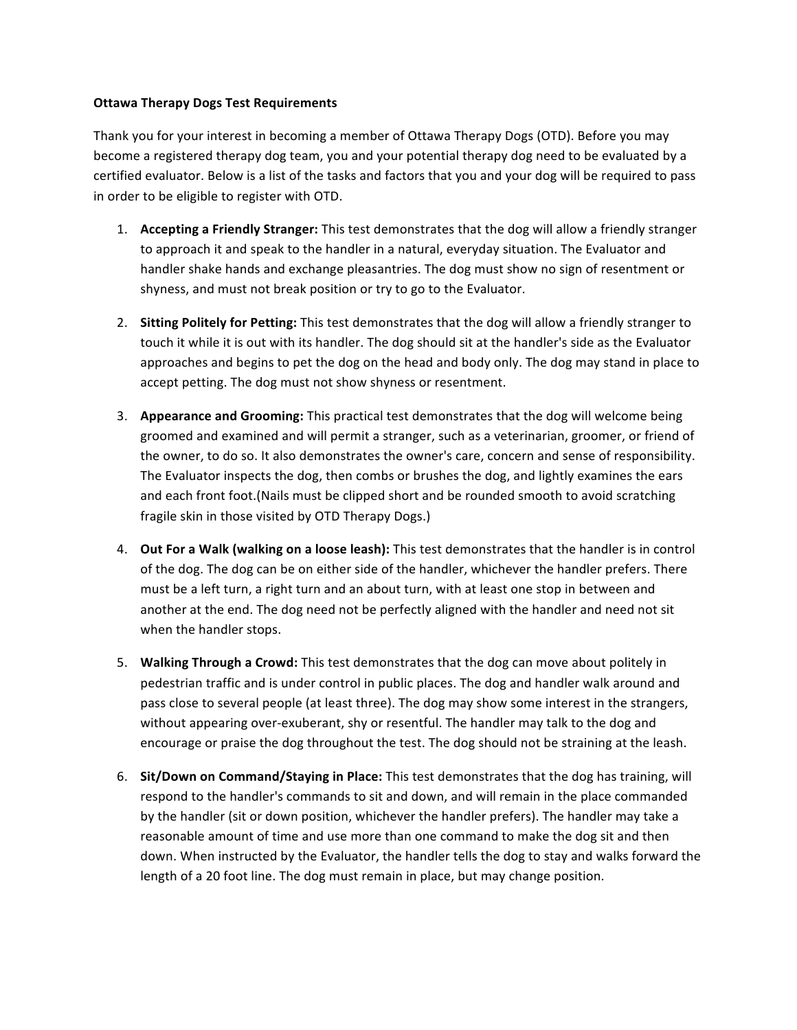## **Ottawa%Therapy%Dogs%Test Requirements**

Thank you for your interest in becoming a member of Ottawa Therapy Dogs (OTD). Before you may become a registered therapy dog team, you and your potential therapy dog need to be evaluated by a certified evaluator. Below is a list of the tasks and factors that you and your dog will be required to pass in order to be eligible to register with OTD.

- 1. **Accepting a Friendly Stranger:** This test demonstrates that the dog will allow a friendly stranger to approach it and speak to the handler in a natural, everyday situation. The Evaluator and handler shake hands and exchange pleasantries. The dog must show no sign of resentment or shyness, and must not break position or try to go to the Evaluator.
- 2. **Sitting Politely for Petting:** This test demonstrates that the dog will allow a friendly stranger to touch it while it is out with its handler. The dog should sit at the handler's side as the Evaluator approaches and begins to pet the dog on the head and body only. The dog may stand in place to accept petting. The dog must not show shyness or resentment.
- 3. **Appearance and Grooming:** This practical test demonstrates that the dog will welcome being groomed and examined and will permit a stranger, such as a veterinarian, groomer, or friend of the owner, to do so. It also demonstrates the owner's care, concern and sense of responsibility. The Evaluator inspects the dog, then combs or brushes the dog, and lightly examines the ears and each front foot.(Nails must be clipped short and be rounded smooth to avoid scratching fragile skin in those visited by OTD Therapy Dogs.)
- 4. **Out For a Walk (walking on a loose leash):** This test demonstrates that the handler is in control of the dog. The dog can be on either side of the handler, whichever the handler prefers. There must be a left turn, a right turn and an about turn, with at least one stop in between and another at the end. The dog need not be perfectly aligned with the handler and need not sit when the handler stops.
- 5. **Walking Through a Crowd:** This test demonstrates that the dog can move about politely in pedestrian traffic and is under control in public places. The dog and handler walk around and pass close to several people (at least three). The dog may show some interest in the strangers, without appearing over-exuberant, shy or resentful. The handler may talk to the dog and encourage or praise the dog throughout the test. The dog should not be straining at the leash.
- 6. **Sit/Down on Command/Staying in Place:** This test demonstrates that the dog has training, will respond to the handler's commands to sit and down, and will remain in the place commanded by the handler (sit or down position, whichever the handler prefers). The handler may take a reasonable amount of time and use more than one command to make the dog sit and then down. When instructed by the Evaluator, the handler tells the dog to stay and walks forward the length of a 20 foot line. The dog must remain in place, but may change position.